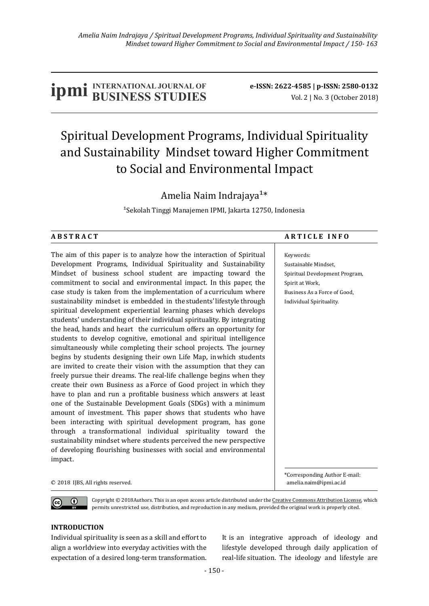# **IDMI** BUSINESS STUDIES **b**e-ISSN: 2622-4585 | p-ISSN: 2580-0132<br>
Vol. 2 | No. 3 (October 2018)

## Spiritual Development Programs, Individual Spirituality and Sustainability Mindset toward Higher Commitment to Social and Environmental Impact

### Amelia Naim Indrajaya<sup>1\*</sup>

<sup>1</sup>Sekolah Tinggi Manajemen IPMI, Jakarta 12750, Indonesia

The aim of this paper is to analyze how the interaction of Spiritual Development Programs, Individual Spirituality and Sustainability Mindset of business school student are impacting toward the commitment to social and environmental impact. In this paper, the case study is taken from the implementation of a curriculum where sustainability mindset is embedded in the students' lifestyle through spiritual development experiential learning phases which develops students' understanding of their individual spirituality. By integrating the head, hands and heart the curriculum offers an opportunity for students to develop cognitive, emotional and spiritual intelligence simultaneously while completing their school projects. The journey begins by students designing their own Life Map, in which students are invited to create their vision with the assumption that they can freely pursue their dreams. The real-life challenge begins when they create their own Business as a Force of Good project in which they have to plan and run a profitable business which answers at least one of the Sustainable Development Goals (SDGs) with a minimum amount of investment. This paper shows that students who have been interacting with spiritual development program, has gone through a transformational individual spirituality toward the sustainability mindset where students perceived the new perspective of developing flourishing businesses with social and environmental impact.

#### ABSTRACT ARTICLE INFO

Keywords:

Sustainable Mindset, Spiritual Development Program, Spirit at Work, Business As a Force of Good, Individual Spirituality.

\*Corresponding Author E-mail:

C 2018 IJBS, All rights reserved. **All income and the example of the example of the example of the example of the example of the example of the example of the example of the example of the example of the example of the exa** 

 $\bigcirc$ 

Copyright  $@$  2018Authors. This is an open access article distributed under the Creative Commons Attribution License, which permits unrestricted use, distribution, and reproduction in any medium, provided the original work is properly cited.

#### **INTRODUCTION**

Individual spirituality is seen as a skill and effort to align a worldview into everyday activities with the expectation of a desired long-term transformation. It is an integrative approach of ideology and lifestyle developed through daily application of real-life situation. The ideology and lifestyle are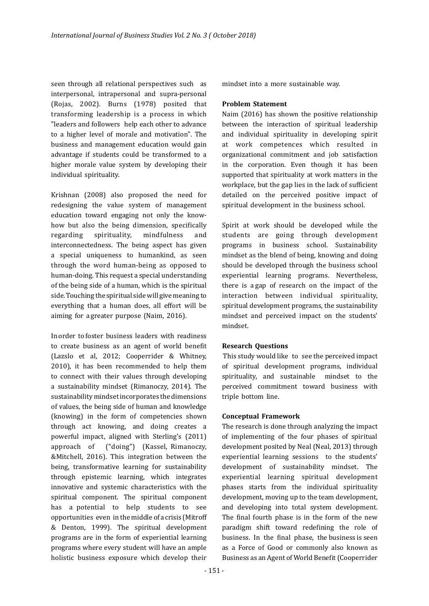seen through all relational perspectives such as interpersonal, intrapersonal and supra-personal (Rojas, 2002). Burns (1978) posited that transforming leadership is a process in which "leaders and followers help each other to advance to a higher level of morale and motivation". The business and management education would gain advantage if students could be transformed to a higher morale value system by developing their individual spirituality.

Krishnan (2008) also proposed the need for redesigning the value system of management education toward engaging not only the knowhow but also the being dimension, specifically regarding spirituality, mindfulness and interconnectedness. The being aspect has given a special uniqueness to humankind, as seen through the word human-being as opposed to human-doing. This request a special understanding of the being side of a human, which is the spiritual side. Touching the spiritual side will give meaning to everything that a human does, all effort will be aiming for agreater purpose (Naim, 2016).

In order to foster business leaders with readiness to create business as an agent of world benefit (Lazslo et al, 2012; Cooperrider & Whitney, 2010), it has been recommended to help them to connect with their values through developing a sustainability mindset (Rimanoczy, 2014). The sustainability mindset incorporates the dimensions of values, the being side of human and knowledge (knowing) in the form of competencies shown through act knowing, and doing creates a powerful impact, aligned with Sterling's (2011) approach of ("doing") (Kassel, Rimanoczy, &Mitchell, 2016). This integration between the being, transformative learning for sustainability through epistemic learning, which integrates innovative and systemic characteristics with the spiritual component. The spiritual component has a potential to help students to see opportunities even in the middle of a crisis (Mitroff & Denton, 1999). The spiritual development programs are in the form of experiential learning programs where every student will have an ample holistic business exposure which develop their 

mindset into a more sustainable way.

#### **Problem Statement**

Naim (2016) has shown the positive relationship between the interaction of spiritual leadership and individual spirituality in developing spirit at work competences which resulted in organizational commitment and job satisfaction in the corporation. Even though it has been supported that spirituality at work matters in the workplace, but the gap lies in the lack of sufficient detailed on the perceived positive impact of spiritual development in the business school.

Spirit at work should be developed while the students are going through development programs in business school. Sustainability mindset as the blend of being, knowing and doing should be developed through the business school experiential learning programs. Nevertheless, there is a gap of research on the impact of the interaction between individual spirituality, spiritual development programs, the sustainability mindset and perceived impact on the students' mindset.

#### **Research Questions**

This study would like to see the perceived impact of spiritual development programs, individual spirituality, and sustainable mindset to the perceived commitment toward business with triple bottom line.

#### **Conceptual Framework**

The research is done through analyzing the impact of implementing of the four phases of spiritual development posited by Neal (Neal, 2013) through experiential learning sessions to the students' development of sustainability mindset. The experiential learning spiritual development phases starts from the individual spirituality development, moving up to the team development, and developing into total system development. The final fourth phase is in the form of the new paradigm shift toward redefining the role of business. In the final phase, the business is seen as a Force of Good or commonly also known as Business as an Agent of World Benefit (Cooperrider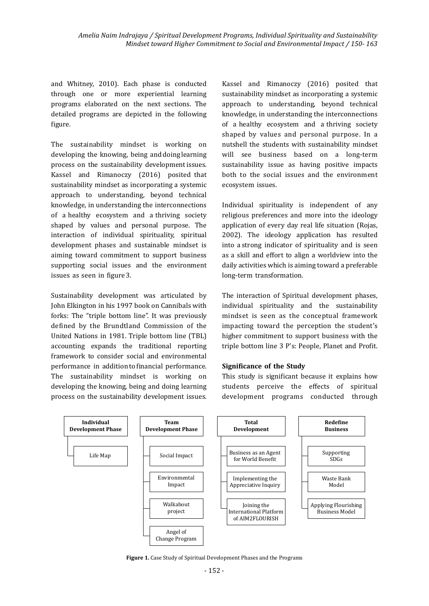and Whitney, 2010). Each phase is conducted through one or more experiential learning programs elaborated on the next sections. The detailed programs are depicted in the following figure.

The sustainability mindset is working on developing the knowing, being and doing learning process on the sustainability development issues. Kassel and Rimanoczy (2016) posited that sustainability mindset as incorporating a systemic approach to understanding, beyond technical knowledge, in understanding the interconnections of a healthy ecosystem and a thriving society shaped by values and personal purpose. The interaction of individual spirituality, spiritual development phases and sustainable mindset is aiming toward commitment to support business supporting social issues and the environment issues as seen in figure 3.

Sustainability development was articulated by John Elkington in his 1997 book on Cannibals with forks: The "triple bottom line". It was previously defined by the Brundtland Commission of the United Nations in 1981. Triple bottom line (TBL) accounting expands the traditional reporting framework to consider social and environmental performance in addition to financial performance. The sustainability mindset is working on developing the knowing, being and doing learning process on the sustainability development issues.

Kassel and Rimanoczy (2016) posited that sustainability mindset as incorporating a systemic approach to understanding, beyond technical knowledge, in understanding the interconnections of a healthy ecosystem and a thriving society shaped by values and personal purpose. In a nutshell the students with sustainability mindset will see business based on a long-term sustainability issue as having positive impacts both to the social issues and the environment ecosystem issues.

Individual spirituality is independent of any religious preferences and more into the ideology application of every day real life situation (Rojas, 2002). The ideology application has resulted into a strong indicator of spirituality and is seen as a skill and effort to align a worldview into the daily activities which is aiming toward a preferable long-term transformation.

The interaction of Spiritual development phases, individual spirituality and the sustainability mindset is seen as the conceptual framework impacting toward the perception the student's higher commitment to support business with the triple bottom line 3 P's: People, Planet and Profit.

#### **Significance of the Study**

This study is significant because it explains how students perceive the effects of spiritual development programs conducted through



**Figure 1.** Case Study of Spiritual Development Phases and the Programs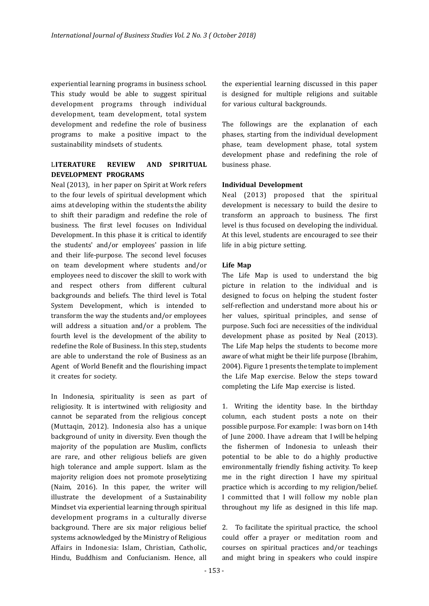experiential learning programs in business school. This study would be able to suggest spiritual development programs through individual development, team development, total system development and redefine the role of business programs to make a positive impact to the sustainability mindsets of students.

#### L**ITERATURE REVIEW AND SPIRITUAL DEVELOPMENT PROGRAMS**

Neal (2013), in her paper on Spirit at Work refers to the four levels of spiritual development which aims at developing within the students the ability to shift their paradigm and redefine the role of business. The first level focuses on Individual Development. In this phase it is critical to identify the students' and/or employees' passion in life and their life-purpose. The second level focuses on team development where students and/or employees need to discover the skill to work with and respect others from different cultural backgrounds and beliefs. The third level is Total System Development, which is intended to transform the way the students and/or employees will address a situation and/or a problem. The fourth level is the development of the ability to redefine the Role of Business. In this step, students are able to understand the role of Business as an Agent of World Benefit and the flourishing impact it creates for society.

In Indonesia, spirituality is seen as part of religiosity. It is intertwined with religiosity and cannot be separated from the religious concept (Muttaqin, 2012). Indonesia also has a unique background of unity in diversity. Even though the majority of the population are Muslim, conflicts are rare, and other religious beliefs are given high tolerance and ample support. Islam as the majority religion does not promote proselytizing (Naim, 2016). In this paper, the writer will illustrate the development of a Sustainability Mindset via experiential learning through spiritual development programs in a culturally diverse background. There are six major religious belief systems acknowledged by the Ministry of Religious Affairs in Indonesia: Islam, Christian, Catholic, Hindu, Buddhism and Confucianism. Hence, all 

the experiential learning discussed in this paper is designed for multiple religions and suitable for various cultural backgrounds.

The followings are the explanation of each phases, starting from the individual development phase, team development phase, total system development phase and redefining the role of business phase.

#### **Individual Development**

Neal (2013) proposed that the spiritual development is necessary to build the desire to transform an approach to business. The first level is thus focused on developing the individual. At this level, students are encouraged to see their life in abig picture setting.

#### **Life Map**

The Life Map is used to understand the big picture in relation to the individual and is designed to focus on helping the student foster self-reflection and understand more about his or her values, spiritual principles, and sense of purpose. Such foci are necessities of the individual development phase as posited by Neal (2013). The Life Map helps the students to become more aware of what might be their life purpose (Ibrahim, 2004). Figure 1 presents the template to implement the Life Map exercise. Below the steps toward completing the Life Map exercise is listed.

1. Writing the identity base. In the birthday column, each student posts a note on their possible purpose. For example: I was born on 14th of June 2000. I have a dream that I will be helping the fishermen of Indonesia to unleash their potential to be able to do a highly productive environmentally friendly fishing activity. To keep me in the right direction I have my spiritual practice which is according to my religion/belief. I committed that I will follow my noble plan throughout my life as designed in this life map.

2. To facilitate the spiritual practice, the school could offer a prayer or meditation room and courses on spiritual practices and/or teachings and might bring in speakers who could inspire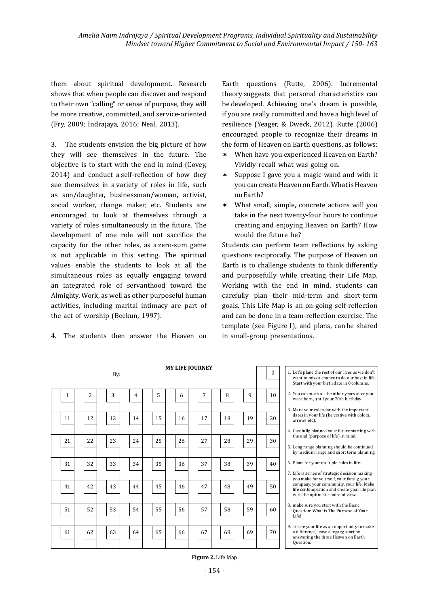them about spiritual development. Research shows that when people can discover and respond to their own "calling" or sense of purpose, they will be more creative, committed, and service-oriented (Fry, 2009; Indrajaya, 2016; Neal, 2013).

3. The students envision the big picture of how they will see themselves in the future. The objective is to start with the end in mind (Covey, 2014) and conduct a self-reflection of how they see themselves in a variety of roles in life, such as son/daughter, businessman/woman, activist, social worker, change maker, etc. Students are encouraged to look at themselves through a variety of roles simultaneously in the future. The development of one role will not sacrifice the capacity for the other roles, as a zero-sum game is not applicable in this setting. The spiritual values enable the students to look at all the simultaneous roles as equally engaging toward an integrated role of servanthood toward the Almighty. Work, as well as other purposeful human activities, including marital intimacy are part of the act of worship (Beekun, 1997).

4. The students then answer the Heaven on

Earth questions (Rutte, 2006). Incremental theory suggests that personal characteristics can be developed. Achieving one's dream is possible, if you are really committed and have a high level of resilience (Yeager, & Dweck, 2012). Rutte (2006). encouraged people to recognize their dreams in the form of Heaven on Earth questions, as follows:

- \* When have you experienced Heaven on Earth? Vividly recall what was going on.
- Suppose I gave you a magic wand and with it you can create Heaven on Earth. What is Heaven on Earth?
- \* What small, simple, concrete actions will you take in the next twenty-four hours to continue creating and enjoying Heaven on Earth? How would the future be?

Students can perform team reflections by asking questions reciprocally. The purpose of Heaven on Earth is to challenge students to think differently and purposefully while creating their Life Map. Working with the end in mind, students can carefully plan their mid-term and short-term goals. This Life Map is an on-going self-reflection and can be done in a team-reflection exercise. The template (see Figure 1), and plans, can be shared in small-group presentations.

|              |                | By: |    |    |    | <b>MY LIFE JOURNEY</b> |    |    | $\Omega$ | 1. Let's plane the rest o<br>want to miss a chano<br>Start with your birth                     |
|--------------|----------------|-----|----|----|----|------------------------|----|----|----------|------------------------------------------------------------------------------------------------|
| $\mathbf{1}$ | $\overline{2}$ | 3   | 4  | 5  | 6  | 7                      | 8  | 9  | 10       | 2. You can mark all the<br>were born, until you                                                |
| 11           | 12             | 13  | 14 | 15 | 16 | 17                     | 18 | 19 | 20       | 3. Mark your calendar<br>dates in your life (be<br>arrows etc).                                |
| 21           | 22             | 23  | 24 | 25 | 26 | 27                     | 28 | 29 | 30       | 4. Carefully planned yo<br>the end (purpose of<br>5. Long range planning<br>by medium range an |
| 31           | 32             | 33  | 34 | 35 | 36 | 37                     | 38 | 39 | 40       | 6. Plane for your multi<br>7. Life is series of strat<br>you make for yourse                   |
| 41           | 42             | 43  | 44 | 45 | 46 | 47                     | 48 | 49 | 50       | company, your comr<br>life contemplation at<br>with the optimistic p                           |
| 51           | 52             | 53  | 54 | 55 | 56 | 57                     | 58 | 59 | 60       | 8. make sure you start<br>Question: What is Tl<br>Life!                                        |
| 61           | 62             | 63  | 64 | 65 | 66 | 67                     | 68 | 69 | 70       | 9. To see your life as ar<br>a difference, leave a<br>answering the three<br>Question.         |

of our lives as we don't ce to do our best in life. h date in 0 columns.

other years after you ur 70th birthday.

- with the important e crative with colors.
- our future starting with **the** in mind
- **z** should be continued ,<br>nd short term planning
- iple roles in life.
- Life is series of strategic decision making elf, your family, your munity, your life! Make nd create vour life plan noint of view.
- with the Basic he Purpose of Your
- n opportunity to make legacy, start by Heaven on Earth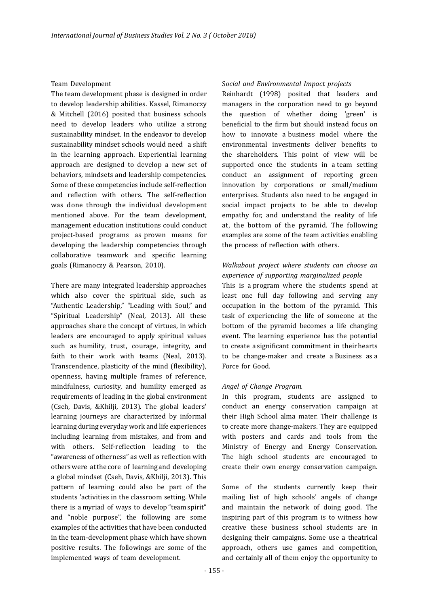#### Team Development

The team development phase is designed in order to develop leadership abilities. Kassel, Rimanoczy & Mitchell (2016) posited that business schools need to develop leaders who utilize a strong sustainability mindset. In the endeavor to develop sustainability mindset schools would need a shift in the learning approach. Experiential learning approach are designed to develop a new set of behaviors, mindsets and leadership competencies. Some of these competencies include self-reflection and reflection with others. The self-reflection was done through the individual development mentioned above. For the team development, management education institutions could conduct project-based programs as proven means for developing the leadership competencies through collaborative teamwork and specific learning goals (Rimanoczy & Pearson, 2010).

There are many integrated leadership approaches which also cover the spiritual side, such as "Authentic Leadership," "Leading with Soul," and "Spiritual Leadership" (Neal, 2013). All these approaches share the concept of virtues, in which leaders are encouraged to apply spiritual values such as humility, trust, courage, integrity, and faith to their work with teams (Neal, 2013). Transcendence, plasticity of the mind (flexibility), openness, having multiple frames of reference, mindfulness, curiosity, and humility emerged as requirements of leading in the global environment (Cseh, Davis, &Khilji, 2013). The global leaders' learning journeys are characterized by informal learning during everyday work and life experiences including learning from mistakes, and from and with others. Self-reflection leading to the "awareness of otherness" as well as reflection with others were at the core of learning and developing a global mindset (Cseh, Davis, &Khilji, 2013). This pattern of learning could also be part of the students 'activities in the classroom setting. While there is a myriad of ways to develop "team spirit" and "noble purpose", the following are some examples of the activities that have been conducted in the team-development phase which have shown positive results. The followings are some of the implemented ways of team development.

#### S*ocial and Environmental Impact projects*

Reinhardt (1998) posited that leaders and managers in the corporation need to go beyond the question of whether doing 'green' is beneficial to the firm but should instead focus on how to innovate a business model where the environmental investments deliver benefits to the shareholders. This point of view will be supported once the students in a team setting conduct an assignment of reporting green innovation by corporations or small/medium enterprises. Students also need to be engaged in social impact projects to be able to develop empathy for, and understand the reality of life at, the bottom of the pyramid. The following examples are some of the team activities enabling the process of reflection with others.

#### *Walkabout project where students can choose an experience of supporting marginalized people*

This is a program where the students spend at least one full day following and serving any occupation in the bottom of the pyramid. This task of experiencing the life of someone at the bottom of the pyramid becomes a life changing event. The learning experience has the potential to create a significant commitment in their hearts to be change-maker and create a Business as a Force for Good.

#### *Angel of Change Program.*

In this program, students are assigned to conduct an energy conservation campaign at their High School alma mater. Their challenge is to create more change-makers. They are equipped with posters and cards and tools from the Ministry of Energy and Energy Conservation. The high school students are encouraged to create their own energy conservation campaign.

Some of the students currently keep their mailing list of high schools' angels of change and maintain the network of doing good. The inspiring part of this program is to witness how creative these business school students are in designing their campaigns. Some use a theatrical approach, others use games and competition, and certainly all of them enjoy the opportunity to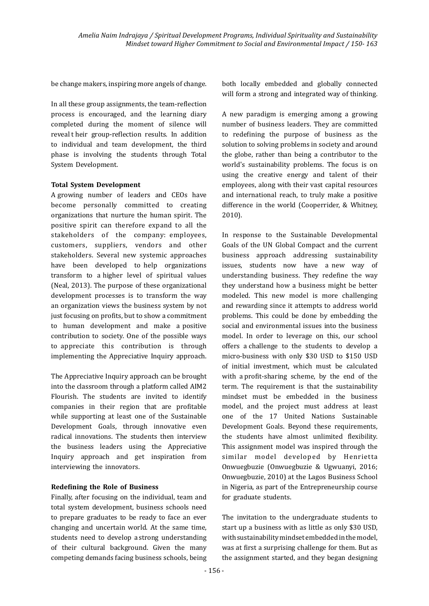be change makers, inspiring more angels of change.

In all these group assignments, the team-reflection process is encouraged, and the learning diary completed during the moment of silence will reveal their group-reflection results. In addition to individual and team development, the third phase is involving the students through Total System Development.

#### **Total System Development**

A growing number of leaders and CEOs have become personally committed to creating organizations that nurture the human spirit. The positive spirit can therefore expand to all the stakeholders of the company: employees, customers, suppliers, vendors and other stakeholders. Several new systemic approaches have been developed to help organizations transform to a higher level of spiritual values (Neal, 2013). The purpose of these organizational development processes is to transform the way an organization views the business system by not just focusing on profits, but to show a commitment to human development and make a positive contribution to society. One of the possible ways to appreciate this contribution is through implementing the Appreciative Inquiry approach.

The Appreciative Inquiry approach can be brought into the classroom through a platform called AIM2 Flourish. The students are invited to identify companies in their region that are profitable while supporting at least one of the Sustainable Development Goals, through innovative even radical innovations. The students then interview the business leaders using the Appreciative Inquiry approach and get inspiration from interviewing the innovators.

#### **Redefining the Role of Business**

Finally, after focusing on the individual, team and total system development, business schools need to prepare graduates to be ready to face an ever changing and uncertain world. At the same time, students need to develop a strong understanding of their cultural background. Given the many competing demands facing business schools, being

both locally embedded and globally connected will form a strong and integrated way of thinking.

A new paradigm is emerging among a growing number of business leaders. They are committed to redefining the purpose of business as the solution to solving problems in society and around the globe, rather than being a contributor to the world's sustainability problems. The focus is on using the creative energy and talent of their employees, along with their vast capital resources and international reach, to truly make a positive difference in the world (Cooperrider, & Whitney, 2010).

In response to the Sustainable Developmental Goals of the UN Global Compact and the current business approach addressing sustainability issues, students now have a new way of understanding business. They redefine the way they understand how a business might be better modeled. This new model is more challenging and rewarding since it attempts to address world problems. This could be done by embedding the social and environmental issues into the business model. In order to leverage on this, our school offers a challenge to the students to develop a micro-business with only \$30 USD to \$150 USD of initial investment, which must be calculated with a profit-sharing scheme, by the end of the term. The requirement is that the sustainability mindset must be embedded in the business model, and the project must address at least one of the 17 United Nations Sustainable Development Goals. Beyond these requirements, the students have almost unlimited flexibility. This assignment model was inspired through the similar model developed by Henrietta Onwuegbuzie (Onwuegbuzie & Ugwuanyi, 2016; Onwuegbuzie, 2010) at the Lagos Business School in Nigeria, as part of the Entrepreneurship course for graduate students.

The invitation to the undergraduate students to start up a business with as little as only \$30 USD, with sustainability mindset embedded in the model, was at first a surprising challenge for them. But as the assignment started, and they began designing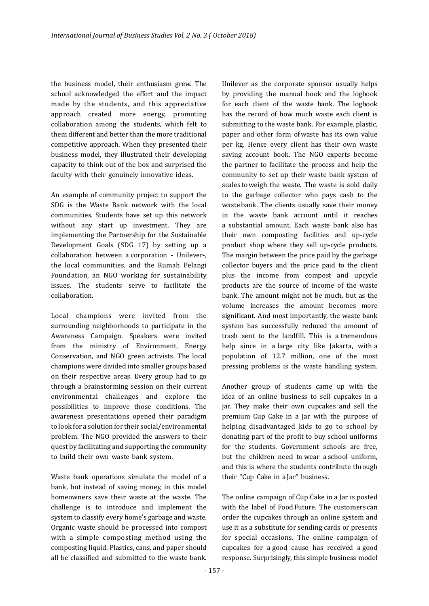the business model, their enthusiasm grew. The school acknowledged the effort and the impact made by the students, and this appreciative approach created more energy, promoting collaboration among the students, which felt to them different and better than the more traditional competitive approach. When they presented their business model, they illustrated their developing capacity to think out of the box and surprised the faculty with their genuinely innovative ideas.

An example of community project to support the SDG is the Waste Bank network with the local communities. Students have set up this network without any start up investment. They are implementing the Partnership for the Sustainable Development Goals (SDG 17) by setting up a collaboration between a corporation - Unilever-, the local communities, and the Rumah Pelangi Foundation, an NGO working for sustainability issues. The students serve to facilitate the collaboration.

Local champions were invited from the surrounding neighborhoods to participate in the Awareness Campaign. Speakers were invited from the ministry of Environment, Energy Conservation, and NGO green activists. The local champions were divided into smaller groups based on their respective areas. Every group had to go through a brainstorming session on their current environmental challenges and explore the possibilities to improve those conditions. The awareness presentations opened their paradigm to look for a solution for their social/environmental problem. The NGO provided the answers to their quest by facilitating and supporting the community to build their own waste bank system.

Waste bank operations simulate the model of a bank, but instead of saving money, in this model homeowners save their waste at the waste. The challenge is to introduce and implement the system to classify every home's garbage and waste. Organic waste should be processed into compost with a simple composting method using the composting liquid. Plastics, cans, and paper should all be classified and submitted to the waste bank.

Unilever as the corporate sponsor usually helps by providing the manual book and the logbook for each client of the waste bank. The logbook has the record of how much waste each client is submitting to the waste bank. For example, plastic, paper and other form of waste has its own value per kg. Hence every client has their own waste saving account book. The NGO experts become the partner to facilitate the process and help the community to set up their waste bank system of scales to weigh the waste. The waste is sold daily to the garbage collector who pays cash to the waste bank. The clients usually save their money in the waste bank account until it reaches a substantial amount. Each waste bank also has their own composting facilities and up-cycle product shop where they sell up-cycle products. The margin between the price paid by the garbage collector buyers and the price paid to the client plus the income from compost and upcycle products are the source of income of the waste bank. The amount might not be much, but as the volume increases the amount becomes more significant. And most importantly, the waste bank system has successfully reduced the amount of trash sent to the landfill. This is a tremendous help since in a large city like Jakarta, with a population of 12.7 million, one of the most pressing problems is the waste handling system.

Another group of students came up with the idea of an online business to sell cupcakes in a jar. They make their own cupcakes and sell the premium Cup Cake in a Jar with the purpose of helping disadvantaged kids to go to school by donating part of the profit to buy school uniforms for the students. Government schools are free, but the children need to wear a school uniform, and this is where the students contribute through their "Cup Cake in a Jar" business.

The online campaign of Cup Cake in a Jar is posted with the label of Food Future. The customers can order the cupcakes through an online system and use it as a substitute for sending cards or presents for special occasions. The online campaign of cupcakes for a good cause has received a good response. Surprisingly, this simple business model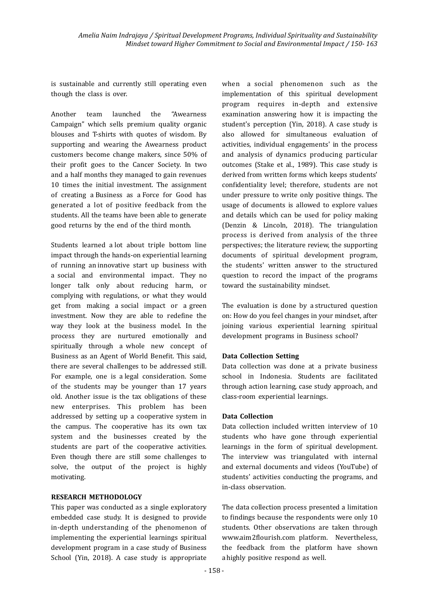is sustainable and currently still operating even though the class is over.

Another team launched the "Awearness Campaign" which sells premium quality organic blouses and T-shirts with quotes of wisdom. By supporting and wearing the Awearness product customers become change makers, since 50% of their profit goes to the Cancer Society. In two and a half months they managed to gain revenues 10 times the initial investment. The assignment of creating a Business as a Force for Good has generated a lot of positive feedback from the students. All the teams have been able to generate good returns by the end of the third month.

Students learned a lot about triple bottom line impact through the hands-on experiential learning of running an innovative start up business with a social and environmental impact. They no longer talk only about reducing harm, or complying with regulations, or what they would get from making a social impact or a green investment. Now they are able to redefine the way they look at the business model. In the process they are nurtured emotionally and spiritually through a whole new concept of Business as an Agent of World Benefit. This said, there are several challenges to be addressed still. For example, one is a legal consideration. Some of the students may be younger than 17 years old. Another issue is the tax obligations of these new enterprises. This problem has been addressed by setting up a cooperative system in the campus. The cooperative has its own tax system and the businesses created by the students are part of the cooperative activities. Even though there are still some challenges to solve, the output of the project is highly motivating.

#### **RESEARCH METHODOLOGY**

This paper was conducted as a single exploratory embedded case study. It is designed to provide in-depth understanding of the phenomenon of implementing the experiential learnings spiritual development program in a case study of Business School (Yin, 2018). A case study is appropriate

when a social phenomenon such as the implementation of this spiritual development program requires in-depth and extensive examination answering how it is impacting the student's perception (Yin, 2018). A case study is also allowed for simultaneous evaluation of activities, individual engagements' in the process and analysis of dynamics producing particular outcomes (Stake et al., 1989). This case study is derived from written forms which keeps students' confidentiality level; therefore, students are not under pressure to write only positive things. The usage of documents is allowed to explore values and details which can be used for policy making (Denzin & Lincoln, 2018). The triangulation process is derived from analysis of the three perspectives; the literature review, the supporting documents of spiritual development program, the students' written answer to the structured question to record the impact of the programs toward the sustainability mindset.

The evaluation is done by a structured question on: How do you feel changes in your mindset, after joining various experiential learning spiritual development programs in Business school?

#### **Data Collection Setting**

Data collection was done at a private business school in Indonesia. Students are facilitated through action learning, case study approach, and class-room experiential learnings.

#### **Data Collection**

Data collection included written interview of 10 students who have gone through experiential learnings in the form of spiritual development. The interview was triangulated with internal and external documents and videos (YouTube) of students' activities conducting the programs, and in-class observation.

The data collection process presented a limitation to findings because the respondents were only 10 students. Other observations are taken through www.aim2flourish.com platform. Nevertheless, the feedback from the platform have shown a highly positive respond as well.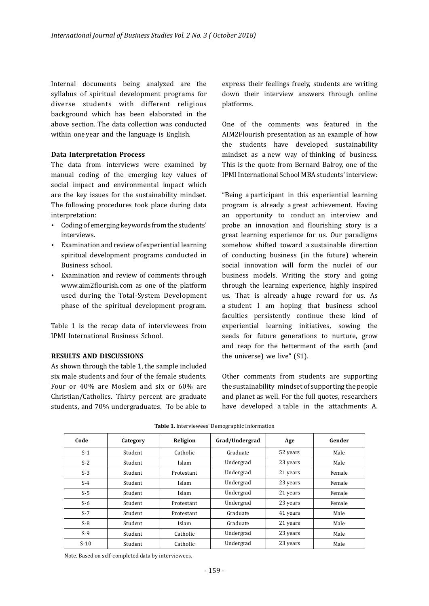Internal documents being analyzed are the syllabus of spiritual development programs for diverse students with different religious background which has been elaborated in the above section. The data collection was conducted within one year and the language is English.

#### **Data Interpretation Process**

The data from interviews were examined by manual coding of the emerging key values of social impact and environmental impact which are the key issues for the sustainability mindset. The following procedures took place during data interpretation:

- Coding of emerging keywords from the students' interviews.
- Examination and review of experiential learning spiritual development programs conducted in Business school.
- Examination and review of comments through www.aim2flourish.com as one of the platform used during the Total-System Development phase of the spiritual development program.

Table 1 is the recap data of interviewees from IPMI International Business School.

#### **RESULTS AND DISCUSSIONS**

As shown through the table 1, the sample included six male students and four of the female students. Four or 40% are Moslem and six or 60% are Christian/Catholics. Thirty percent are graduate students, and 70% undergraduates. To be able to express their feelings freely, students are writing down their interview answers through online platforms.

One of the comments was featured in the AIM2Flourish presentation as an example of how the students have developed sustainability mindset as a new way of thinking of business. This is the quote from Bernard Balroy, one of the IPMI International School MBA students' interview

"Being a participant in this experiential learning program is already a great achievement. Having an opportunity to conduct an interview and probe an innovation and flourishing story is a great learning experience for us. Our paradigms somehow shifted toward a sustainable direction of conducting business (in the future) wherein social innovation will form the nuclei of our business models. Writing the story and going through the learning experience, highly inspired us. That is already a huge reward for us. As a student I am hoping that business school faculties persistently continue these kind of experiential learning initiatives, sowing the seeds for future generations to nurture, grow and reap for the betterment of the earth (and the universe) we live"  $(S1)$ .

Other comments from students are supporting the sustainability mindset of supporting the people and planet as well. For the full quotes, researchers have developed a table in the attachments A.

| Code   | Category | Religion   | Grad/Undergrad | Age      | Gender |
|--------|----------|------------|----------------|----------|--------|
| $S-1$  | Student  | Catholic   | Graduate       | 52 years | Male   |
| $S-2$  | Student  | Islam      | Undergrad      | 23 years | Male   |
| $S-3$  | Student  | Protestant | Undergrad      | 21 years | Female |
| $S-4$  | Student  | Islam      | Undergrad      | 23 years | Female |
| $S-5$  | Student  | Islam      | Undergrad      | 21 years | Female |
| $S-6$  | Student  | Protestant | Undergrad      | 23 years | Female |
| $S-7$  | Student  | Protestant | Graduate       | 41 years | Male   |
| $S-8$  | Student  | Islam      | Graduate       | 21 years | Male   |
| $S-9$  | Student  | Catholic   | Undergrad      | 23 years | Male   |
| $S-10$ | Student  | Catholic   | Undergrad      | 23 years | Male   |

Table 1. Interviewees' Demographic Information

Note. Based on self-completed data by interviewees.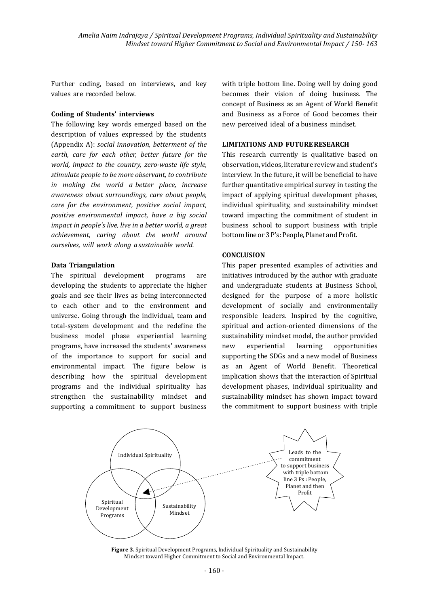Further coding, based on interviews, and key values are recorded below.

#### **Coding of Students' interviews**

The following key words emerged based on the description of values expressed by the students (Appendix A): *social innovation, betterment of the* earth, care for each other, better future for the *world, impact to the country, zero-waste life style,* stimulate people to be more observant, to contribute *in making the world a better place, increase awareness about surroundings, care about people, care for the environment, positive social impact, positive environmental impact, have a big social impact in people's live, live in a better world, a great achievement, caring about the world around ourselves, will work along a sustainable world.*

#### **Data Triangulation**

The spiritual development programs are developing the students to appreciate the higher goals and see their lives as being interconnected to each other and to the environment and universe. Going through the individual, team and total-system development and the redefine the business model phase experiential learning programs, have increased the students' awareness of the importance to support for social and environmental impact. The figure below is describing how the spiritual development programs and the individual spirituality has strengthen the sustainability mindset and supporting a commitment to support business

with triple bottom line. Doing well by doing good becomes their vision of doing business. The concept of Business as an Agent of World Benefit and Business as a Force of Good becomes their new perceived ideal of abusiness mindset.

#### **LIMITATIONS AND FUTURE RESEARCH**

This research currently is qualitative based on observation, videos, literature review and student's interview. In the future, it will be beneficial to have further quantitative empirical survey in testing the impact of applying spiritual development phases, individual spirituality, and sustainability mindset toward impacting the commitment of student in business school to support business with triple bottom line or 3 P's: People, Planet and Profit.

#### **CONCLUSION**

This paper presented examples of activities and initiatives introduced by the author with graduate and undergraduate students at Business School, designed for the purpose of a more holistic development of socially and environmentally responsible leaders. Inspired by the cognitive, spiritual and action-oriented dimensions of the sustainability mindset model, the author provided new experiential learning opportunities supporting the SDGs and a new model of Business as an Agent of World Benefit. Theoretical implication shows that the interaction of Spiritual development phases, individual spirituality and sustainability mindset has shown impact toward the commitment to support business with triple



**Figure 3.** Spiritual Development Programs, Individual Spirituality and Sustainability Mindset toward Higher Commitment to Social and Environmental Impact.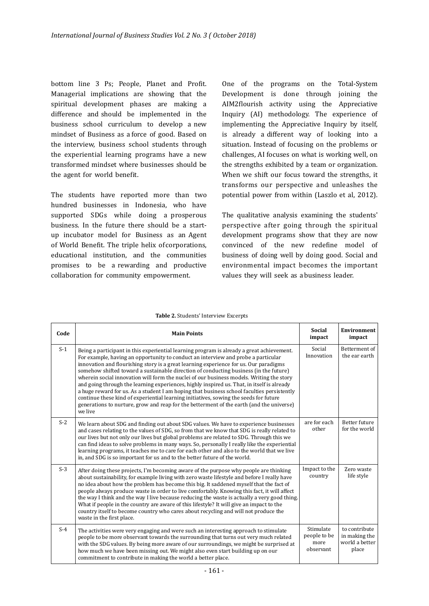bottom line 3 Ps; People, Planet and Profit. Managerial implications are showing that the spiritual development phases are making a difference and should be implemented in the business school curriculum to develop a new mindset of Business as a force of good. Based on the interview, business school students through the experiential learning programs have a new transformed mindset where businesses should be the agent for world benefit.

The students have reported more than two hundred businesses in Indonesia, who have supported SDGs while doing a prosperous business. In the future there should be a startup incubator model for Business as an Agent of World Benefit. The triple helix of corporations, educational institution, and the communities promises to be a rewarding and productive collaboration for community empowerment.

One of the programs on the Total-System Development is done through joining the AIM2flourish activity using the Appreciative Inquiry (AI) methodology. The experience of implementing the Appreciative Inquiry by itself, is already a different way of looking into a situation. Instead of focusing on the problems or challenges, AI focuses on what is working well, on the strengths exhibited by a team or organization. When we shift our focus toward the strengths, it transforms our perspective and unleashes the potential power from within (Laszlo et al, 2012).

The qualitative analysis examining the students' perspective after going through the spiritual development programs show that they are now convinced of the new redefine model of business of doing well by doing good. Social and environmental impact becomes the important values they will seek as abusiness leader.

| Code  | <b>Main Points</b>                                                                                                                                                                                                                                                                                                                                                                                                                                                                                                                                                                                                                                                                                                                                                                                                                                       | <b>Social</b><br>impact                        | <b>Environment</b><br>impact                              |
|-------|----------------------------------------------------------------------------------------------------------------------------------------------------------------------------------------------------------------------------------------------------------------------------------------------------------------------------------------------------------------------------------------------------------------------------------------------------------------------------------------------------------------------------------------------------------------------------------------------------------------------------------------------------------------------------------------------------------------------------------------------------------------------------------------------------------------------------------------------------------|------------------------------------------------|-----------------------------------------------------------|
| $S-1$ | Being a participant in this experiential learning program is already a great achievement.<br>For example, having an opportunity to conduct an interview and probe a particular<br>innovation and flourishing story is a great learning experience for us. Our paradigms<br>somehow shifted toward a sustainable direction of conducting business (in the future)<br>wherein social innovation will form the nuclei of our business models. Writing the story<br>and going through the learning experiences, highly inspired us. That, in itself is already<br>a huge reward for us. As a student I am hoping that business school faculties persistently<br>continue these kind of experiential learning initiatives, sowing the seeds for future<br>generations to nurture, grow and reap for the betterment of the earth (and the universe)<br>we live | Social<br>Innovation                           | Betterment of<br>the ear earth                            |
| $S-2$ | We learn about SDG and finding out about SDG values. We have to experience businesses<br>and cases relating to the values of SDG, so from that we know that SDG is really related to<br>our lives but not only our lives but global problems are related to SDG. Through this we<br>can find ideas to solve problems in many ways. So, personally I really like the experiential<br>learning programs, it teaches me to care for each other and also to the world that we live<br>in, and SDG is so important for us and to the better future of the world.                                                                                                                                                                                                                                                                                              | are for each<br>other                          | <b>Better future</b><br>for the world                     |
| $S-3$ | After doing these projects, I'm becoming aware of the purpose why people are thinking<br>about sustainability, for example living with zero waste lifestyle and before I really have<br>no idea about how the problem has become this big. It saddened myself that the fact of<br>people always produce waste in order to live comfortably. Knowing this fact, it will affect<br>the way I think and the way I live because reducing the waste is actually a very good thing.<br>What if people in the country are aware of this lifestyle? It will give an impact to the<br>country itself to become country who cares about recycling and will not produce the<br>waste in the first place.                                                                                                                                                            | Impact to the<br>country                       | Zero waste<br>life style                                  |
| $S-4$ | The activities were very engaging and were such an interesting approach to stimulate<br>people to be more observant towards the surrounding that turns out very much related<br>with the SDG values. By being more aware of our surroundings, we might be surprised at<br>how much we have been missing out. We might also even start building up on our<br>commitment to contribute in making the world a better place.                                                                                                                                                                                                                                                                                                                                                                                                                                 | Stimulate<br>people to be<br>more<br>observant | to contribute<br>in making the<br>world a better<br>place |

#### Table 2. Students' Interview Excerpts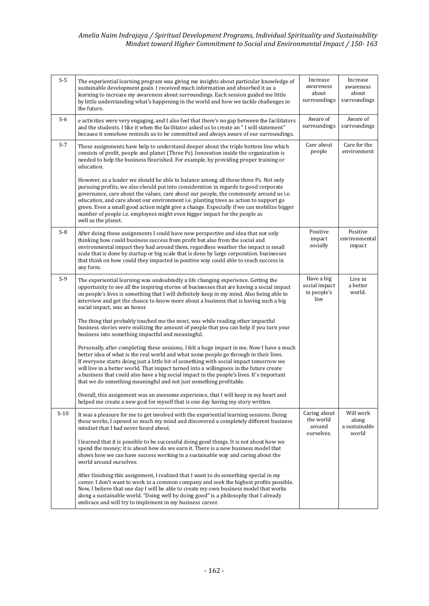#### Amelia Naim Indrajaya / Spiritual Development Programs, Individual Spirituality and Sustainability Mindset toward Higher Commitment to Social and Environmental Impact / 150- 163

| $S-5$  | The experiential learning program was giving me insights about particular knowledge of<br>sustainable development goals. I received much information and absorbed it as a<br>learning to increase my awareness about surroundings. Each session guided me little<br>by little understanding what's happening in the world and how we tackle challenges in<br>the future.                                                                                                                                                                                          | Increase<br>awareness<br>about<br>surroundings     | Increase<br>awareness<br>about<br>surroundings |
|--------|-------------------------------------------------------------------------------------------------------------------------------------------------------------------------------------------------------------------------------------------------------------------------------------------------------------------------------------------------------------------------------------------------------------------------------------------------------------------------------------------------------------------------------------------------------------------|----------------------------------------------------|------------------------------------------------|
| $S-6$  | e activities were very engaging, and I also feel that there's no gap between the facilitators<br>and the students. I like it when the facilitator asked us to create an "I will statement"<br>because it somehow reminds us to be committed and always aware of our surroundings.                                                                                                                                                                                                                                                                                 | Aware of<br>surroundings                           | Aware of<br>surroundings                       |
| $S-7$  | These assignments have help to understand deeper about the triple bottom line which<br>consists of profit, people and planet (Three Ps). Innovation inside the organization is<br>needed to help the business flourished. For example, by providing proper training or<br>education.                                                                                                                                                                                                                                                                              | Care about<br>people                               | Care for the<br>environment                    |
|        | However, as a leader we should be able to balance among all those three Ps. Not only<br>pursuing profits, we also should put into consideration in regards to good corporate<br>governance, care about the values, care about our people, the community around us i.e.<br>education, and care about our environment i.e. planting trees as action to support go<br>green. Even a small good action might give a change. Especially if we can mobilize bigger<br>number of people i.e. employees might even bigger impact for the people as<br>well as the planet. |                                                    |                                                |
| $S-8$  | After doing these assignments I could have new perspective and idea that not only<br>thinking how could business success from profit but also from the social and<br>environmental impact they had around them, regardless weather the impact is small<br>scale that is done by startup or big scale that is done by large corporation. businesses<br>that think on how could they impacted in positive way could able to reach success in<br>any form.                                                                                                           | Positive<br>impact<br>socially                     | Positive<br>environmental<br>impact            |
| $S-9$  | The experiential learning was undoubtedly a life changing experience. Getting the<br>opportunity to see all the inspiring stories of businesses that are having a social impact<br>on people's lives is something that I will definitely keep in my mind. Also being able to<br>interview and get the chance to know more about a business that is having such a big<br>social impact, was an honor.                                                                                                                                                              | Have a big<br>social impact<br>in people's<br>live | Live in<br>a better<br>world.                  |
|        | The thing that probably touched me the most, was while reading other impactful<br>business stories were realizing the amount of people that you can help if you turn your<br>business into something impactful and meaningful.                                                                                                                                                                                                                                                                                                                                    |                                                    |                                                |
|        | Personally, after completing these sessions, I felt a huge impact in me. Now I have a much<br>better idea of what is the real world and what some people go through in their lives.<br>If everyone starts doing just a little bit of something with social impact tomorrow we<br>will live in a better world. That impact turned into a willingness in the future create<br>a business that could also have a big social impact in the people's lives. It's important<br>that we do something meaningful and not just something profitable.                       |                                                    |                                                |
|        | Overall, this assignment was an awesome experience, that I will keep in my heart and<br>helped me create a new goal for myself that is one day having my story written.                                                                                                                                                                                                                                                                                                                                                                                           |                                                    |                                                |
| $S-10$ | It was a pleasure for me to get involved with the experiential learning sessions. Doing<br>these works, I opened so much my mind and discovered a completely different business<br>mindset that I had never heard about.                                                                                                                                                                                                                                                                                                                                          | Caring about<br>the world<br>around<br>ourselves.  | Will work<br>along<br>a sustainable<br>world   |
|        | I learned that it is possible to be successful doing good things. It is not about how we<br>spend the money; it is about how do we earn it. There is a new business model that<br>shows how we can have success working in a sustainable way and caring about the<br>world around ourselves.                                                                                                                                                                                                                                                                      |                                                    |                                                |
|        | After finishing this assignment, I realized that I want to do something special in my<br>career. I don't want to work in a common company and seek the highest profits possible.<br>Now, I believe that one day I will be able to create my own business model that works<br>along a sustainable world. "Doing well by doing good" is a philosophy that I already<br>embrace and will try to implement in my business career.                                                                                                                                     |                                                    |                                                |